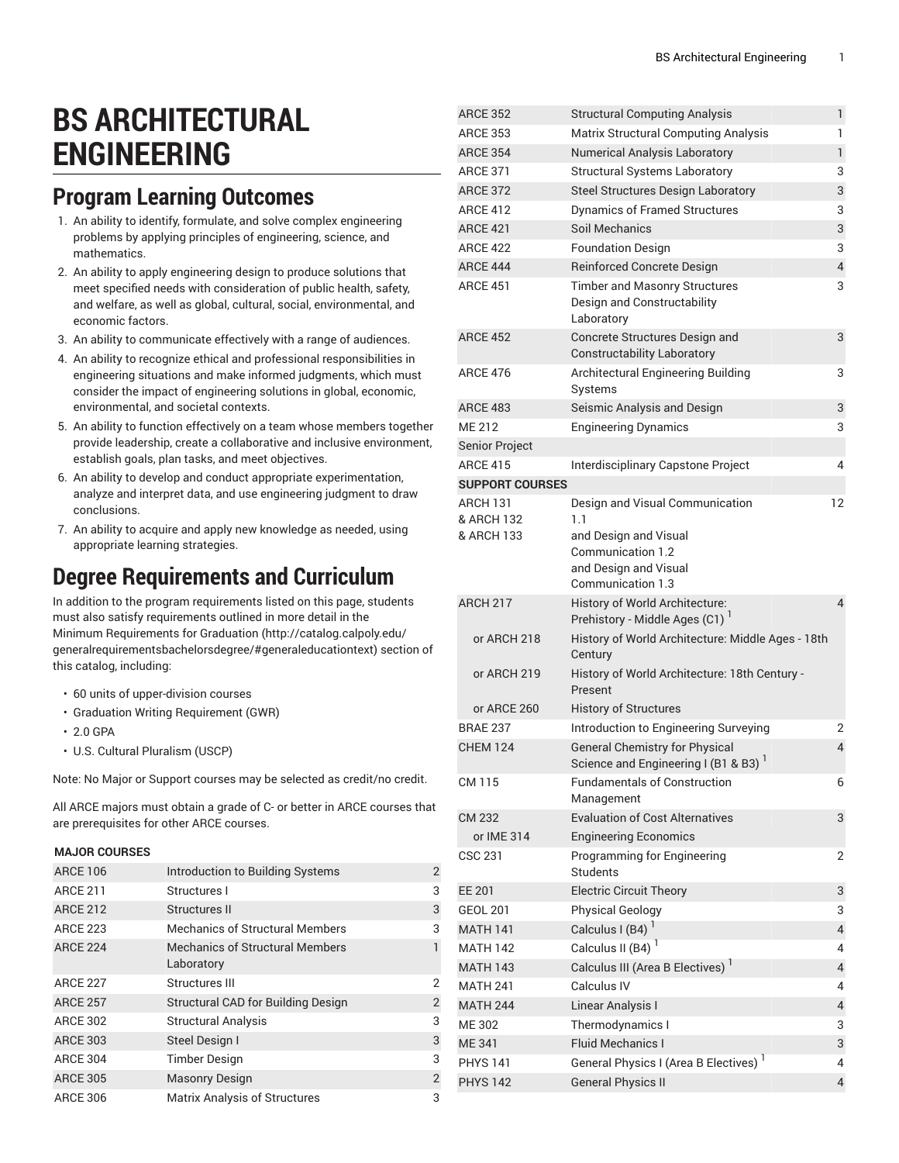# **BS ARCHITECTURAL ENGINEERING**

### **Program Learning Outcomes**

- 1. An ability to identify, formulate, and solve complex engineering problems by applying principles of engineering, science, and mathematics.
- 2. An ability to apply engineering design to produce solutions that meet specified needs with consideration of public health, safety, and welfare, as well as global, cultural, social, environmental, and economic factors.
- 3. An ability to communicate effectively with a range of audiences.
- 4. An ability to recognize ethical and professional responsibilities in engineering situations and make informed judgments, which must consider the impact of engineering solutions in global, economic, environmental, and societal contexts.
- 5. An ability to function effectively on a team whose members together provide leadership, create a collaborative and inclusive environment, establish goals, plan tasks, and meet objectives.
- 6. An ability to develop and conduct appropriate experimentation, analyze and interpret data, and use engineering judgment to draw conclusions.
- 7. An ability to acquire and apply new knowledge as needed, using appropriate learning strategies.

#### **Degree Requirements and Curriculum**

In addition to the program requirements listed on this page, students must also satisfy requirements outlined in more detail in the Minimum [Requirements](http://catalog.calpoly.edu/generalrequirementsbachelorsdegree/#generaleducationtext) for Graduation ([http://catalog.calpoly.edu/](http://catalog.calpoly.edu/generalrequirementsbachelorsdegree/#generaleducationtext) [generalrequirementsbachelorsdegree/#generaleducationtext\)](http://catalog.calpoly.edu/generalrequirementsbachelorsdegree/#generaleducationtext) section of this catalog, including:

- 60 units of upper-division courses
- Graduation Writing Requirement (GWR)
- 2.0 GPA
- U.S. Cultural Pluralism (USCP)

Note: No Major or Support courses may be selected as credit/no credit.

All ARCE majors must obtain a grade of C- or better in ARCE courses that are prerequisites for other ARCE courses.

#### **MAJOR COURSES**

| <b>ARCE 106</b> | Introduction to Building Systems                     | $\overline{2}$ |
|-----------------|------------------------------------------------------|----------------|
| <b>ARCE 211</b> | Structures I                                         | 3              |
| <b>ARCE 212</b> | Structures II                                        | 3              |
| <b>ARCE 223</b> | <b>Mechanics of Structural Members</b>               | 3              |
| <b>ARCE 224</b> | <b>Mechanics of Structural Members</b><br>Laboratory |                |
| <b>ARCE 227</b> | Structures III                                       | 2              |
| <b>ARCE 257</b> | <b>Structural CAD for Building Design</b>            | $\overline{2}$ |
| <b>ARCE 302</b> | <b>Structural Analysis</b>                           | 3              |
| <b>ARCE 303</b> | Steel Design I                                       | 3              |
| <b>ARCE 304</b> | <b>Timber Design</b>                                 | 3              |
| <b>ARCE 305</b> | <b>Masonry Design</b>                                | $\overline{2}$ |
| <b>ARCE 306</b> | <b>Matrix Analysis of Structures</b>                 | 3              |

| ANUE JUZ               | Structural Computing Analysis                                                              | н.             |
|------------------------|--------------------------------------------------------------------------------------------|----------------|
| <b>ARCE 353</b>        | <b>Matrix Structural Computing Analysis</b>                                                | 1              |
| <b>ARCE 354</b>        | <b>Numerical Analysis Laboratory</b>                                                       | $\mathbf{1}$   |
| <b>ARCE 371</b>        | <b>Structural Systems Laboratory</b>                                                       | 3              |
| <b>ARCE 372</b>        | Steel Structures Design Laboratory                                                         | 3              |
| <b>ARCE 412</b>        | <b>Dynamics of Framed Structures</b>                                                       | 3              |
| <b>ARCE 421</b>        | Soil Mechanics                                                                             | 3              |
| <b>ARCE 422</b>        | <b>Foundation Design</b>                                                                   | 3              |
| <b>ARCE 444</b>        | <b>Reinforced Concrete Design</b>                                                          | $\overline{4}$ |
| <b>ARCE 451</b>        | <b>Timber and Masonry Structures</b><br>Design and Constructability<br>Laboratory          | 3              |
| <b>ARCE 452</b>        | Concrete Structures Design and<br><b>Constructability Laboratory</b>                       | 3              |
| <b>ARCE 476</b>        | Architectural Engineering Building<br>Systems                                              | 3              |
| <b>ARCE 483</b>        | Seismic Analysis and Design                                                                | 3              |
| <b>ME 212</b>          | <b>Engineering Dynamics</b>                                                                | 3              |
| Senior Project         |                                                                                            |                |
| <b>ARCE 415</b>        | Interdisciplinary Capstone Project                                                         | 4              |
| <b>SUPPORT COURSES</b> |                                                                                            |                |
| ARCH 131               | Design and Visual Communication                                                            | 12             |
| & ARCH 132             | 1.1                                                                                        |                |
| & ARCH 133             | and Design and Visual<br>Communication 1.2<br>and Design and Visual<br>Communication 1.3   |                |
| ARCH 217               | History of World Architecture:<br>Prehistory - Middle Ages (C1) <sup>1</sup>               | $\overline{4}$ |
| or ARCH 218            | History of World Architecture: Middle Ages - 18th<br>Century                               |                |
| or ARCH 219            | History of World Architecture: 18th Century -<br>Present                                   |                |
| or ARCE 260            | <b>History of Structures</b>                                                               |                |
| <b>BRAE 237</b>        | Introduction to Engineering Surveying                                                      | 2              |
| <b>CHEM 124</b>        | <b>General Chemistry for Physical</b><br>Science and Engineering I (B1 & B3) $^\mathrm{1}$ | 4              |
| CM 115                 | <b>Fundamentals of Construction</b><br>Management                                          | 6              |
| CM 232                 | <b>Evaluation of Cost Alternatives</b>                                                     | 3              |
| or IME 314             | <b>Engineering Economics</b>                                                               |                |
| <b>CSC 231</b>         | Programming for Engineering<br><b>Students</b>                                             | 2              |
| EE 201                 | <b>Electric Circuit Theory</b>                                                             | 3              |
| <b>GEOL 201</b>        | <b>Physical Geology</b>                                                                    | 3              |
| <b>MATH 141</b>        | Calculus I (B4) <sup>1</sup>                                                               | $\overline{4}$ |
| <b>MATH 142</b>        | Calculus II (B4) <sup>1</sup>                                                              | 4              |
| <b>MATH 143</b>        | Calculus III (Area B Electives) <sup>1</sup>                                               | $\overline{4}$ |
| <b>MATH 241</b>        | Calculus IV                                                                                | 4              |
| <b>MATH 244</b>        | Linear Analysis I                                                                          | $\sqrt{4}$     |
| ME 302                 | Thermodynamics I                                                                           | 3              |
| ME 341                 | <b>Fluid Mechanics I</b>                                                                   | 3              |
| <b>PHYS 141</b>        | General Physics I (Area B Electives) <sup>1</sup>                                          | 4              |
| <b>PHYS 142</b>        | <b>General Physics II</b>                                                                  | $\overline{4}$ |
|                        |                                                                                            |                |

ARCE 352 Structural Computing Analysis 1